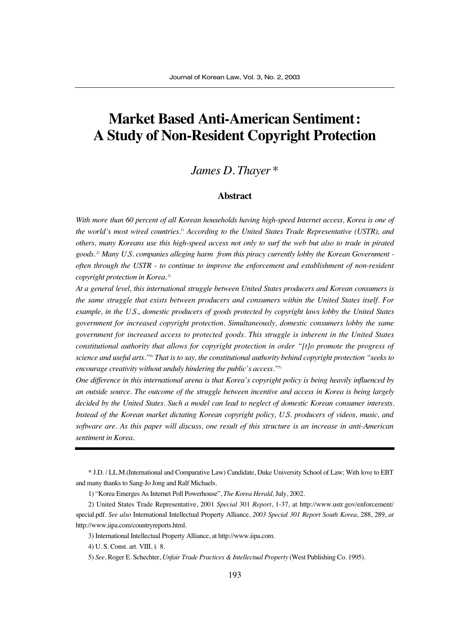# **Market Based Anti-American Sentiment: A Study of Non-Resident Copyright Protection**

### *James D. Thayer \**

#### **Abstract**

*With more than 60 percent of all Korean households having high-speed Internet access, Korea is one of the world's most wired countries.1) According to the United States Trade Representative (USTR), and others, many Koreans use this high-speed access not only to surf the web but also to trade in pirated goods. 2) Many U.S. companies alleging harm from this piracy currently lobby the Korean Government often through the USTR - to continue to improve the enforcement and establishment of non-resident copyright protection in Korea. 3)*

*At a general level, this international struggle between United States producers and Korean consumers is the same struggle that exists between producers and consumers within the United States itself. For example, in the U.S., domestic producers of goods protected by copyright laws lobby the United States government for increased copyright protection. Simultaneously, domestic consumers lobby the same government for increased access to protected goods. This struggle is inherent in the United States constitutional authority that allows for copyright protection in order "[t]o promote the progress of science and useful arts."4) That is to say, the constitutional authority behind copyright protection "seeks to encourage creativity without unduly hindering the public's access."5)*

*One difference in this international arena is that Korea's copyright policy is being heavily influenced by an outside source. The outcome of the struggle between incentive and access in Korea is being largely decided by the United States. Such a model can lead to neglect of domestic Korean consumer interests. Instead of the Korean market dictating Korean copyright policy, U.S. producers of videos, music, and software are. As this paper will discuss, one result of this structure is an increase in anti-American sentiment in Korea.*

\* J.D. / LL.M.(International and Comparative Law) Candidate, Duke University School of Law; With love to EBT and many thanks to Sang-Jo Jong and Ralf Michaels.

1) "Korea Emerges As Internet Poll Powerhouse", *The Korea Herald,* July, 2002.

<sup>2)</sup> United States Trade Representative, 2001 *Special* 301 *Report*, 1-37, at http://www.ustr.gov/enforcement/ special.pdf. *See also* International Intellectual Property Alliance, *2003 Special 301 Report South Korea*, 288, 289, *at* http://www.iipa.com/countryreports.html.

<sup>3)</sup> International Intellectual Property Alliance, at http://www.iipa.com.

<sup>4)</sup> U.S. Const. art. VIII,  $\S$  8.

<sup>5)</sup> *See*, Roger E. Schechter, *Unfair Trade Practices & Intellectual Property* (West Publishing Co. 1995).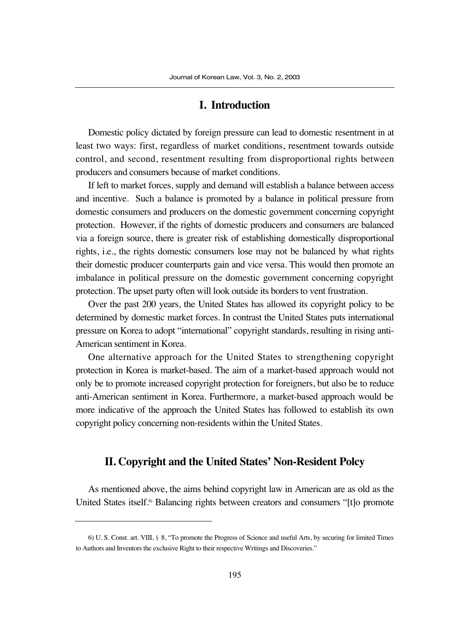#### **I. Introduction**

Domestic policy dictated by foreign pressure can lead to domestic resentment in at least two ways: first, regardless of market conditions, resentment towards outside control, and second, resentment resulting from disproportional rights between producers and consumers because of market conditions.

If left to market forces, supply and demand will establish a balance between access and incentive. Such a balance is promoted by a balance in political pressure from domestic consumers and producers on the domestic government concerning copyright protection. However, if the rights of domestic producers and consumers are balanced via a foreign source, there is greater risk of establishing domestically disproportional rights, i.e., the rights domestic consumers lose may not be balanced by what rights their domestic producer counterparts gain and vice versa. This would then promote an imbalance in political pressure on the domestic government concerning copyright protection. The upset party often will look outside its borders to vent frustration.

Over the past 200 years, the United States has allowed its copyright policy to be determined by domestic market forces. In contrast the United States puts international pressure on Korea to adopt "international" copyright standards, resulting in rising anti-American sentiment in Korea.

One alternative approach for the United States to strengthening copyright protection in Korea is market-based. The aim of a market-based approach would not only be to promote increased copyright protection for foreigners, but also be to reduce anti-American sentiment in Korea. Furthermore, a market-based approach would be more indicative of the approach the United States has followed to establish its own copyright policy concerning non-residents within the United States.

#### **II. Copyright and the United States' Non-Resident Polcy**

As mentioned above, the aims behind copyright law in American are as old as the United States itself.<sup>6</sup> Balancing rights between creators and consumers "[t]o promote

<sup>6)</sup> U. S. Const. art. VIII, §8, "To promote the Progress of Science and useful Arts, by securing for limited Times to Authors and Inventors the exclusive Right to their respective Writings and Discoveries."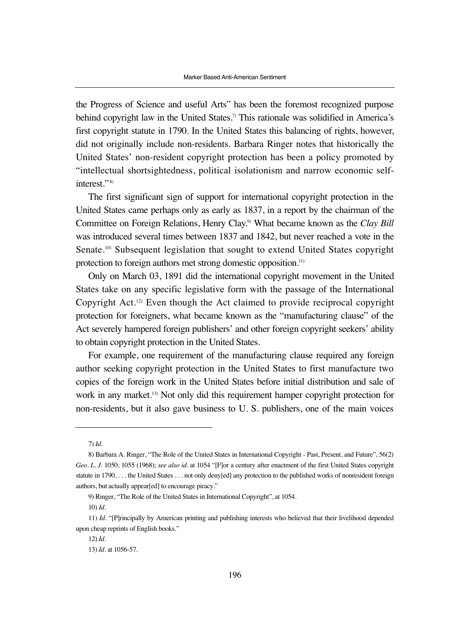the Progress of Science and useful Arts" has been the foremost recognized purpose behind copyright law in the United States.<sup>7)</sup> This rationale was solidified in America's first copyright statute in 1790. In the United States this balancing of rights, however, did not originally include non-residents. Barbara Ringer notes that historically the United States' non-resident copyright protection has been a policy promoted by "intellectual shortsightedness, political isolationism and narrow economic selfinterest."<sup>8)</sup>

The first significant sign of support for international copyright protection in the United States came perhaps only as early as 1837, in a report by the chairman of the Committee on Foreign Relations, Henry Clay.9) What became known as the *Clay Bill* was introduced several times between 1837 and 1842, but never reached a vote in the Senate.<sup>10)</sup> Subsequent legislation that sought to extend United States copyright protection to foreign authors met strong domestic opposition.<sup>11)</sup>

Only on March 03, 1891 did the international copyright movement in the United States take on any specific legislative form with the passage of the International Copyright Act.12) Even though the Act claimed to provide reciprocal copyright protection for foreigners, what became known as the "manufacturing clause" of the Act severely hampered foreign publishers' and other foreign copyright seekers' ability to obtain copyright protection in the United States.

For example, one requirement of the manufacturing clause required any foreign author seeking copyright protection in the United States to first manufacture two copies of the foreign work in the United States before initial distribution and sale of work in any market.<sup>13)</sup> Not only did this requirement hamper copyright protection for non-residents, but it also gave business to U. S. publishers, one of the main voices

<sup>7)</sup> *Id.*

<sup>8)</sup> Barbara A. Ringer, "The Role of the United States in International Copyright - Past, Present, and Future", 56(2) *Geo. L. J.* 1050, 1055 (1968); *see also id.* at 1054 "[F]or a century after enactment of the first United States copyright statute in 1790, ... the United States ... not only deny[ed] any protection to the published works of nonresident foreign authors, but actually appear[ed] to encourage piracy."

<sup>9)</sup> Ringer, "The Role of the United States in International Copyright", at 1054.

<sup>10)</sup> *Id*.

<sup>11)</sup> *Id*. "[P]rincipally by American printing and publishing interests who believed that their livelihood depended upon cheap reprints of English books."

<sup>12)</sup> *Id*.

<sup>13)</sup> *Id*. at 1056-57.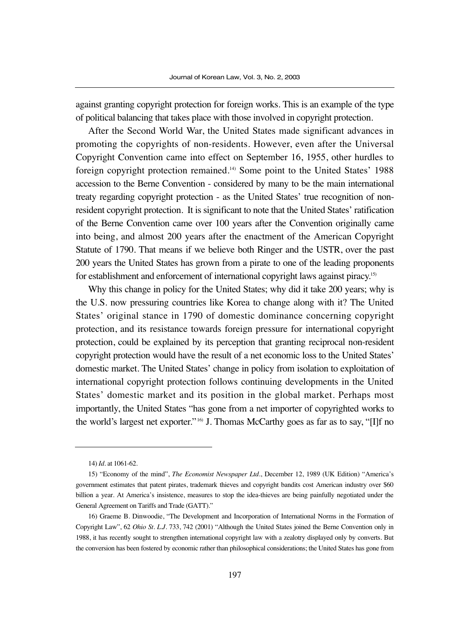against granting copyright protection for foreign works. This is an example of the type of political balancing that takes place with those involved in copyright protection.

After the Second World War, the United States made significant advances in promoting the copyrights of non-residents. However, even after the Universal Copyright Convention came into effect on September 16, 1955, other hurdles to foreign copyright protection remained.14) Some point to the United States' 1988 accession to the Berne Convention - considered by many to be the main international treaty regarding copyright protection - as the United States' true recognition of nonresident copyright protection. It is significant to note that the United States' ratification of the Berne Convention came over 100 years after the Convention originally came into being, and almost 200 years after the enactment of the American Copyright Statute of 1790. That means if we believe both Ringer and the USTR, over the past 200 years the United States has grown from a pirate to one of the leading proponents for establishment and enforcement of international copyright laws against piracy.15)

Why this change in policy for the United States; why did it take 200 years; why is the U.S. now pressuring countries like Korea to change along with it? The United States' original stance in 1790 of domestic dominance concerning copyright protection, and its resistance towards foreign pressure for international copyright protection, could be explained by its perception that granting reciprocal non-resident copyright protection would have the result of a net economic loss to the United States' domestic market. The United States' change in policy from isolation to exploitation of international copyright protection follows continuing developments in the United States' domestic market and its position in the global market. Perhaps most importantly, the United States "has gone from a net importer of copyrighted works to the world's largest net exporter." 16) J. Thomas McCarthy goes as far as to say, "[I]f no

<sup>14)</sup> *Id*. at 1061-62.

<sup>15) &</sup>quot;Economy of the mind", *The Economist Newspaper Ltd*., December 12, 1989 (UK Edition) "America's government estimates that patent pirates, trademark thieves and copyright bandits cost American industry over \$60 billion a year. At America's insistence, measures to stop the idea-thieves are being painfully negotiated under the General Agreement on Tariffs and Trade (GATT)."

<sup>16)</sup> Graeme B. Dinwoodie, "The Development and Incorporation of International Norms in the Formation of Copyright Law", 62 *Ohio St. L.J.* 733, 742 (2001) "Although the United States joined the Berne Convention only in 1988, it has recently sought to strengthen international copyright law with a zealotry displayed only by converts. But the conversion has been fostered by economic rather than philosophical considerations; the United States has gone from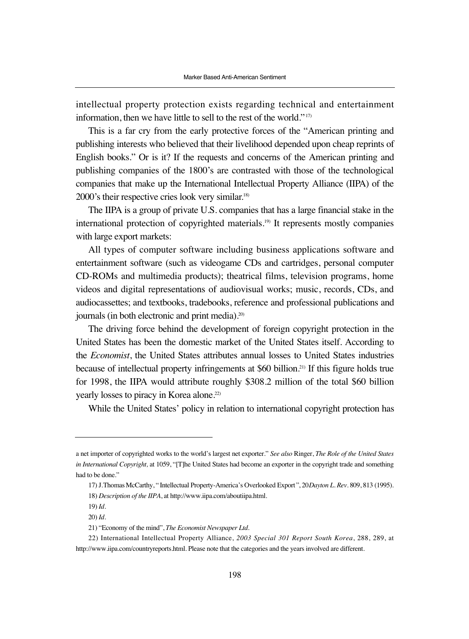intellectual property protection exists regarding technical and entertainment information, then we have little to sell to the rest of the world." 17)

This is a far cry from the early protective forces of the "American printing and publishing interests who believed that their livelihood depended upon cheap reprints of English books." Or is it? If the requests and concerns of the American printing and publishing companies of the 1800's are contrasted with those of the technological companies that make up the International Intellectual Property Alliance (IIPA) of the 2000's their respective cries look very similar.18)

The IIPA is a group of private U.S. companies that has a large financial stake in the international protection of copyrighted materials.<sup>19)</sup> It represents mostly companies with large export markets:

All types of computer software including business applications software and entertainment software (such as videogame CDs and cartridges, personal computer CD-ROMs and multimedia products); theatrical films, television programs, home videos and digital representations of audiovisual works; music, records, CDs, and audiocassettes; and textbooks, tradebooks, reference and professional publications and journals (in both electronic and print media).20)

The driving force behind the development of foreign copyright protection in the United States has been the domestic market of the United States itself. According to the *Economist*, the United States attributes annual losses to United States industries because of intellectual property infringements at \$60 billion.21) If this figure holds true for 1998, the IIPA would attribute roughly \$308.2 million of the total \$60 billion yearly losses to piracy in Korea alone.<sup>22)</sup>

While the United States' policy in relation to international copyright protection has

a net importer of copyrighted works to the world's largest net exporter." *See also* Ringer, *The Role of the United States in International Copyright,* at 1059, "[T]he United States had become an exporter in the copyright trade and something had to be done."

<sup>17)</sup> J.Thomas McCarthy, "Intellectual Property-America's Overlooked Export", 20*Dayton L. Rev.* 809, 813 (1995). 18) *Description of the IIPA*, at http://www.iipa.com/aboutiipa.html.

<sup>19)</sup> *Id.*

<sup>20)</sup> *Id.*

<sup>21) &</sup>quot;Economy of the mind", *The Economist Newspaper Ltd*.

<sup>22)</sup> International Intellectual Property Alliance, *2003 Special 301 Report South Korea*, 288, 289, at http://www.iipa.com/countryreports.html. Please note that the categories and the years involved are different.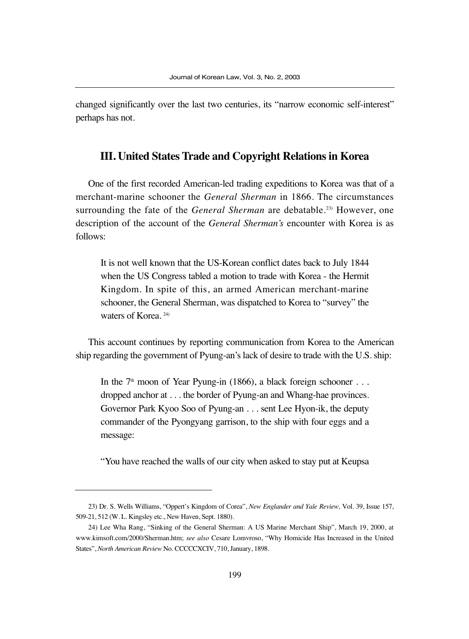changed significantly over the last two centuries, its "narrow economic self-interest" perhaps has not.

#### **III. United States Trade and Copyright Relations in Korea**

One of the first recorded American-led trading expeditions to Korea was that of a merchant-marine schooner the *General Sherman* in 1866. The circumstances surrounding the fate of the *General Sherman* are debatable.<sup>23)</sup> However, one description of the account of the *General Sherman's* encounter with Korea is as follows:

It is not well known that the US-Korean conflict dates back to July 1844 when the US Congress tabled a motion to trade with Korea - the Hermit Kingdom. In spite of this, an armed American merchant-marine schooner, the General Sherman, was dispatched to Korea to "survey" the waters of Korea. 24)

This account continues by reporting communication from Korea to the American ship regarding the government of Pyung-an's lack of desire to trade with the U.S. ship:

In the  $7<sup>th</sup>$  moon of Year Pyung-in (1866), a black foreign schooner . . . dropped anchor at . . . the border of Pyung-an and Whang-hae provinces. Governor Park Kyoo Soo of Pyung-an . . . sent Lee Hyon-ik, the deputy commander of the Pyongyang garrison, to the ship with four eggs and a message:

"You have reached the walls of our city when asked to stay put at Keupsa

<sup>23)</sup> Dr. S. Wells Williams, "Oppert's Kingdom of Corea", *New Englander and Yale Review,* Vol. 39, Issue 157, 509-21, 512 (W. L. Kingsley etc., New Haven, Sept. 1880).

<sup>24)</sup> Lee Wha Rang, "Sinking of the General Sherman: A US Marine Merchant Ship", March 19, 2000, at www.kimsoft.com/2000/Sherman.htm; *see also* Cesare Lomvroso, "Why Homicide Has Increased in the United States", *North American Review* No. CCCCCXCIV, 710, January, 1898.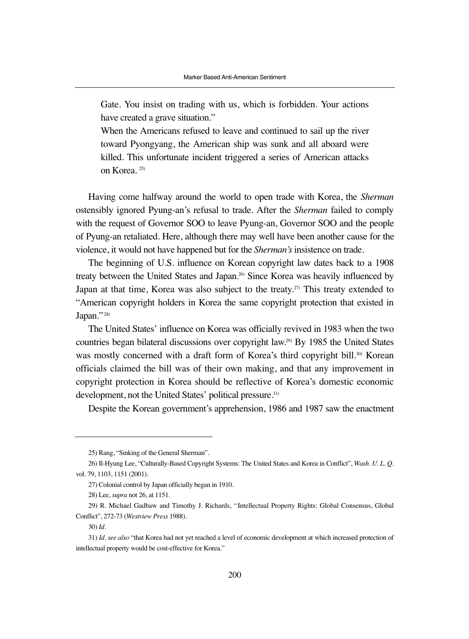Gate. You insist on trading with us, which is forbidden. Your actions have created a grave situation."

When the Americans refused to leave and continued to sail up the river toward Pyongyang, the American ship was sunk and all aboard were killed. This unfortunate incident triggered a series of American attacks on Korea. 25)

Having come halfway around the world to open trade with Korea, the *Sherman* ostensibly ignored Pyung-an's refusal to trade. After the *Sherman* failed to comply with the request of Governor SOO to leave Pyung-an, Governor SOO and the people of Pyung-an retaliated. Here, although there may well have been another cause for the violence, it would not have happened but for the *Sherman's* insistence on trade.

The beginning of U.S. influence on Korean copyright law dates back to a 1908 treaty between the United States and Japan.<sup>26)</sup> Since Korea was heavily influenced by Japan at that time, Korea was also subject to the treaty.<sup>27)</sup> This treaty extended to "American copyright holders in Korea the same copyright protection that existed in Japan."<sup>28)</sup>

The United States' influence on Korea was officially revived in 1983 when the two countries began bilateral discussions over copyright law.29) By 1985 the United States was mostly concerned with a draft form of Korea's third copyright bill.<sup>30)</sup> Korean officials claimed the bill was of their own making, and that any improvement in copyright protection in Korea should be reflective of Korea's domestic economic development, not the United States' political pressure.<sup>31)</sup>

Despite the Korean government's apprehension, 1986 and 1987 saw the enactment

<sup>25)</sup> Rang, "Sinking of the General Sherman".

<sup>26)</sup> Il-Hyung Lee, "Culturally-Based Copyright Systems: The United States and Korea in Conflict", *Wash. U. L. Q.* vol. 79, 1103, 1151 (2001).

<sup>27)</sup> Colonial control by Japan officially began in 1910.

<sup>28)</sup> Lee, *supra* not 26, at 1151.

<sup>29)</sup> R. Michael Gadbaw and Timothy J. Richards, "Intellectual Property Rights: Global Consensus, Global Conflict", 272-73 (*Westview Press* 1988).

<sup>30)</sup> *Id.*

<sup>31)</sup> *Id. see also* "that Korea had not yet reached a level of economic development at which increased protection of intellectual property would be cost-effective for Korea."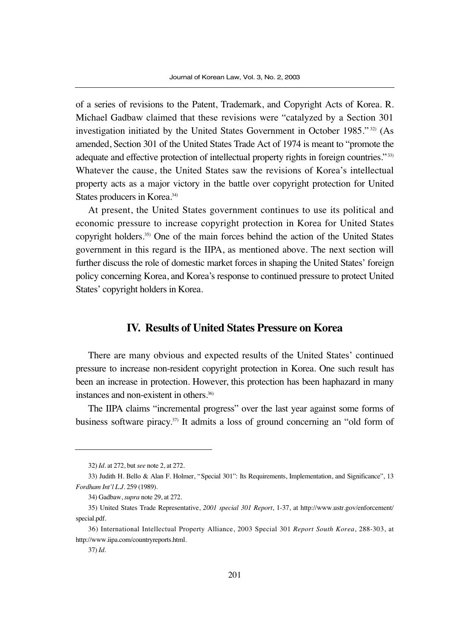of a series of revisions to the Patent, Trademark, and Copyright Acts of Korea. R. Michael Gadbaw claimed that these revisions were "catalyzed by a Section 301 investigation initiated by the United States Government in October 1985."<sup>32)</sup> (As amended, Section 301 of the United States Trade Act of 1974 is meant to "promote the adequate and effective protection of intellectual property rights in foreign countries." 33) Whatever the cause, the United States saw the revisions of Korea's intellectual property acts as a major victory in the battle over copyright protection for United States producers in Korea.<sup>34)</sup>

At present, the United States government continues to use its political and economic pressure to increase copyright protection in Korea for United States copyright holders.35) One of the main forces behind the action of the United States government in this regard is the IIPA, as mentioned above. The next section will further discuss the role of domestic market forces in shaping the United States' foreign policy concerning Korea, and Korea's response to continued pressure to protect United States' copyright holders in Korea.

#### **IV. Results of United States Pressure on Korea**

There are many obvious and expected results of the United States' continued pressure to increase non-resident copyright protection in Korea. One such result has been an increase in protection. However, this protection has been haphazard in many instances and non-existent in others.36)

The IIPA claims "incremental progress" over the last year against some forms of business software piracy.37) It admits a loss of ground concerning an "old form of

<sup>32)</sup> *Id*. at 272, but *see* note 2, at 272.

<sup>33)</sup> Judith H. Bello & Alan F. Holmer, "Special 301": Its Requirements, Implementation, and Significance", 13 *Fordham Int'l L.J.* 259 (1989).

<sup>34)</sup> Gadbaw, *supra* note 29, at 272.

<sup>35)</sup> United States Trade Representative, *2001 special 301 Report*, 1-37, at http://www.ustr.gov/enforcement/ special.pdf.

<sup>36)</sup> International Intellectual Property Alliance, 2003 Special 301 *Report South Korea*, 288-303, at http://www.iipa.com/countryreports.html.

<sup>37)</sup> *Id.*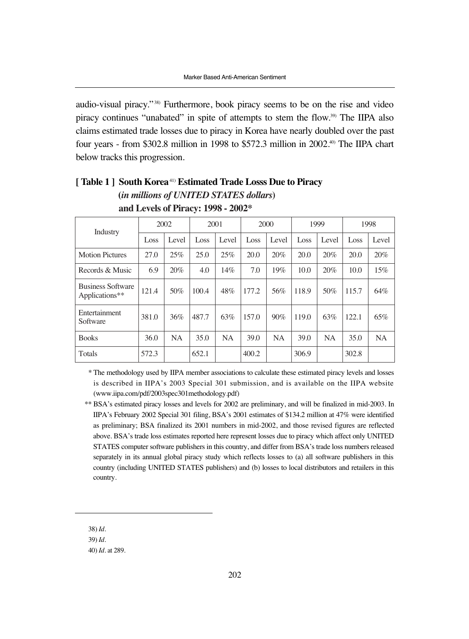audio-visual piracy." 38) Furthermore, book piracy seems to be on the rise and video piracy continues "unabated" in spite of attempts to stem the flow.39) The IIPA also claims estimated trade losses due to piracy in Korea have nearly doubled over the past four years - from \$302.8 million in 1998 to \$572.3 million in 2002.40) The IIPA chart below tracks this progression.

| Industry                                   |               | 2002 |       | 2001  |       | 2000  |       | 1999      | 1998  |           |
|--------------------------------------------|---------------|------|-------|-------|-------|-------|-------|-----------|-------|-----------|
|                                            | Level<br>Loss |      | Loss  | Level | Loss  | Level | Loss  | Level     | Loss  | Level     |
| <b>Motion Pictures</b>                     | 27.0          | 25%  | 25.0  | 25%   | 20.0  | 20%   | 20.0  | 20%       | 20.0  | 20%       |
| Records & Music                            | 6.9           | 20%  | 4.0   | 14%   | 7.0   | 19%   | 10.0  | 20%       | 10.0  | 15%       |
| <b>Business Software</b><br>Applications** | 121.4         | 50%  | 100.4 | 48%   | 177.2 | 56%   | 118.9 | 50%       | 115.7 | 64%       |
| Entertainment<br>Software                  | 381.0         | 36%  | 487.7 | 63%   | 157.0 | 90%   | 119.0 | 63%       | 122.1 | 65%       |
| <b>Books</b>                               | 36.0          | NA   | 35.0  | NA    | 39.0  | NA    | 39.0  | <b>NA</b> | 35.0  | <b>NA</b> |
| Totals                                     | 572.3         |      | 652.1 |       | 400.2 |       | 306.9 |           | 302.8 |           |

#### **[ Table 1 ] South Korea**41) **Estimated Trade Losss Due to Piracy (***in millions of UNITED STATES dollars***)**

**and Levels of Piracy: 1998 - 2002\***

\* The methodology used by IIPA member associations to calculate these estimated piracy levels and losses is described in IIPA's 2003 Special 301 submission, and is available on the IIPA website (www.iipa.com/pdf/2003spec301methodology.pdf)

38) *Id*.

39) *Id*.

<sup>\*\*</sup> BSA's estimated piracy losses and levels for 2002 are preliminary, and will be finalized in mid-2003. In IIPA's February 2002 Special 301 filing, BSA's 2001 estimates of \$134.2 million at 47% were identified as preliminary; BSA finalized its 2001 numbers in mid-2002, and those revised figures are reflected above. BSA's trade loss estimates reported here represent losses due to piracy which affect only UNITED STATES computer software publishers in this country, and differ from BSA's trade loss numbers released separately in its annual global piracy study which reflects losses to (a) all software publishers in this country (including UNITED STATES publishers) and (b) losses to local distributors and retailers in this country.

<sup>40)</sup> *Id.* at 289.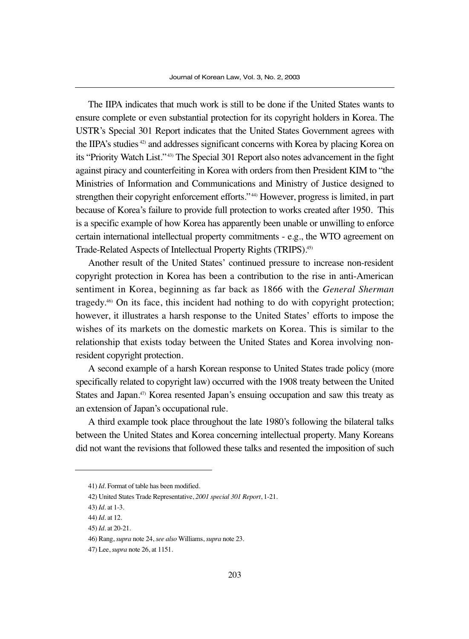The IIPA indicates that much work is still to be done if the United States wants to ensure complete or even substantial protection for its copyright holders in Korea. The USTR's Special 301 Report indicates that the United States Government agrees with the IIPA's studies 42) and addresses significant concerns with Korea by placing Korea on its "Priority Watch List." 43) The Special 301 Report also notes advancement in the fight against piracy and counterfeiting in Korea with orders from then President KIM to "the Ministries of Information and Communications and Ministry of Justice designed to strengthen their copyright enforcement efforts." 44) However, progress is limited, in part because of Korea's failure to provide full protection to works created after 1950. This is a specific example of how Korea has apparently been unable or unwilling to enforce certain international intellectual property commitments - e.g., the WTO agreement on Trade-Related Aspects of Intellectual Property Rights (TRIPS).45)

Another result of the United States' continued pressure to increase non-resident copyright protection in Korea has been a contribution to the rise in anti-American sentiment in Korea, beginning as far back as 1866 with the *General Sherman* tragedy.46) On its face, this incident had nothing to do with copyright protection; however, it illustrates a harsh response to the United States' efforts to impose the wishes of its markets on the domestic markets on Korea. This is similar to the relationship that exists today between the United States and Korea involving nonresident copyright protection.

A second example of a harsh Korean response to United States trade policy (more specifically related to copyright law) occurred with the 1908 treaty between the United States and Japan. $47$  Korea resented Japan's ensuing occupation and saw this treaty as an extension of Japan's occupational rule.

A third example took place throughout the late 1980's following the bilateral talks between the United States and Korea concerning intellectual property. Many Koreans did not want the revisions that followed these talks and resented the imposition of such

<sup>41)</sup> *Id*. Format of table has been modified.

<sup>42)</sup> United States Trade Representative, *2001 special 301 Report*, 1-21.

<sup>43)</sup> *Id.* at 1-3.

<sup>44)</sup> *Id.* at 12.

<sup>45)</sup> *Id.* at 20-21.

<sup>46)</sup> Rang, *supra* note 24, *see also* Williams, *supra* note 23.

<sup>47)</sup> Lee, *supra* note 26, at 1151.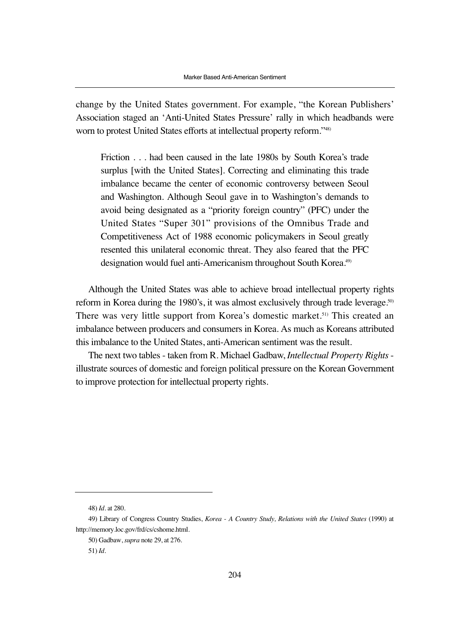change by the United States government. For example, "the Korean Publishers' Association staged an 'Anti-United States Pressure' rally in which headbands were worn to protest United States efforts at intellectual property reform."48)

Friction . . . had been caused in the late 1980s by South Korea's trade surplus [with the United States]. Correcting and eliminating this trade imbalance became the center of economic controversy between Seoul and Washington. Although Seoul gave in to Washington's demands to avoid being designated as a "priority foreign country" (PFC) under the United States "Super 301" provisions of the Omnibus Trade and Competitiveness Act of 1988 economic policymakers in Seoul greatly resented this unilateral economic threat. They also feared that the PFC designation would fuel anti-Americanism throughout South Korea.<sup>49)</sup>

Although the United States was able to achieve broad intellectual property rights reform in Korea during the 1980's, it was almost exclusively through trade leverage.<sup>50</sup> There was very little support from Korea's domestic market.51) This created an imbalance between producers and consumers in Korea. As much as Koreans attributed this imbalance to the United States, anti-American sentiment was the result.

The next two tables - taken from R. Michael Gadbaw, *Intellectual Property Rights* illustrate sources of domestic and foreign political pressure on the Korean Government to improve protection for intellectual property rights.

<sup>48)</sup> *Id*. at 280.

<sup>49)</sup> Library of Congress Country Studies, *Korea - A Country Study, Relations with the United States* (1990) at http://memory.loc.gov/frd/cs/cshome.html.

<sup>50)</sup> Gadbaw, *supra* note 29, at 276.

<sup>51)</sup> *Id*.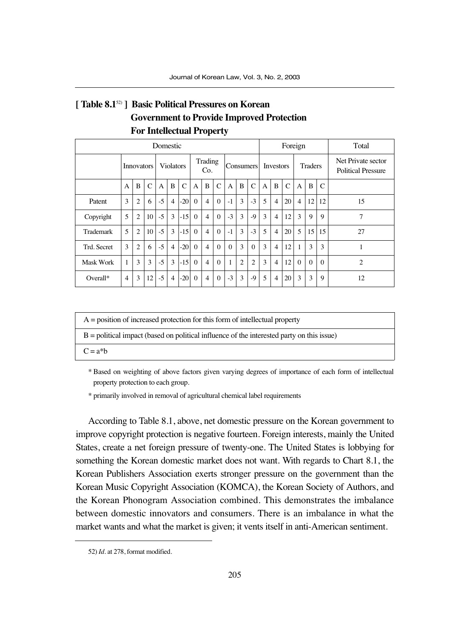### **[ Table 8.1**52) **] Basic Political Pressures on Korean Government to Provide Improved Protection For Intellectual Property**

| Domestic         |                   |                |                  |      |                |                |              |                |               | Foreign  |   |                  |   |                |                | Total          |             |                                                 |                |
|------------------|-------------------|----------------|------------------|------|----------------|----------------|--------------|----------------|---------------|----------|---|------------------|---|----------------|----------------|----------------|-------------|-------------------------------------------------|----------------|
|                  | <b>Innovators</b> |                | <b>Violators</b> |      |                | Trading<br>Co. |              |                | Consumers     |          |   | <b>Investors</b> |   |                | <b>Traders</b> |                |             | Net Private sector<br><b>Political Pressure</b> |                |
|                  | $\mathsf{A}$      | B              | C                | A    | B              | $\mathcal{C}$  | $\mathbf{A}$ | B              | $\mathcal{C}$ | A        | B | $\mathcal{C}$    | A | B              | $\mathcal{C}$  | A              | B           | C                                               |                |
| Patent           | 3                 | $\overline{c}$ | 6                | $-5$ | $\overline{4}$ | $-20$          | $\Omega$     | $\overline{4}$ | $\Omega$      | $-1$     | 3 | $-3$             | 5 | $\overline{4}$ | 20             | $\overline{4}$ | 12          | 12                                              | 15             |
| Copyright        | 5                 | $\overline{c}$ | 10               | $-5$ | 3              | $-15$          | $\Omega$     | $\overline{4}$ | $\Omega$      | $-3$     | 3 | $-9$             | 3 | $\overline{4}$ | 12             | 3              | $\mathbf Q$ | 9                                               | 7              |
| Trademark        | 5                 | 2              | 10 <sup>1</sup>  | $-5$ | 3              | $-15$          | $\Omega$     | $\overline{4}$ | $\Omega$      | $-1$     | 3 | $-3$             | 5 | $\overline{4}$ | 20             | 5              | 15          | 15                                              | 27             |
| Trd. Secret      | 3                 | $\overline{c}$ | 6                | $-5$ | $\overline{4}$ | $-20$          | $\theta$     | $\overline{4}$ | $\Omega$      | $\Omega$ | 3 | $\Omega$         | 3 | $\overline{4}$ | 12             | $\mathbf{1}$   | 3           | 3                                               |                |
| <b>Mask Work</b> | 1                 | 3              | 3                | $-5$ | 3              | $-15$          | $\Omega$     | $\overline{4}$ | $\Omega$      | 1        | 2 | $\overline{c}$   | 3 | $\overline{4}$ | 12             | $\theta$       | $\Omega$    | $\Omega$                                        | $\overline{2}$ |
| Overall*         | 4                 | 3              | 12               | $-5$ | $\overline{4}$ | $-20$          | $\Omega$     | $\overline{4}$ | $\Omega$      | $-3$     | 3 | -9               | 5 | $\overline{4}$ | 20             | 3              | 3           | 9                                               | 12             |

| $A =$ position of increased protection for this form of intellectual property               |
|---------------------------------------------------------------------------------------------|
| $B =$ political impact (based on political influence of the interested party on this issue) |
| $C = a^*b$                                                                                  |

\* Based on weighting of above factors given varying degrees of importance of each form of intellectual property protection to each group.

\* primarily involved in removal of agricultural chemical label requirements

According to Table 8.1, above, net domestic pressure on the Korean government to improve copyright protection is negative fourteen. Foreign interests, mainly the United States, create a net foreign pressure of twenty-one. The United States is lobbying for something the Korean domestic market does not want. With regards to Chart 8.1, the Korean Publishers Association exerts stronger pressure on the government than the Korean Music Copyright Association (KOMCA), the Korean Society of Authors, and the Korean Phonogram Association combined. This demonstrates the imbalance between domestic innovators and consumers. There is an imbalance in what the market wants and what the market is given; it vents itself in anti-American sentiment.

<sup>52)</sup> *Id*. at 278, format modified.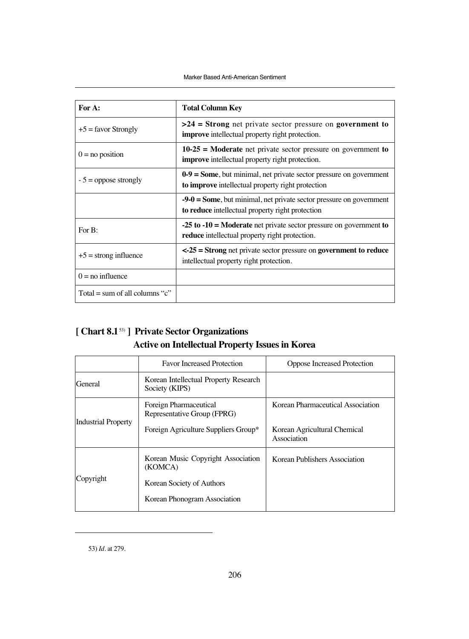| For A:                         | <b>Total Column Key</b>                                                                                                   |  |  |  |
|--------------------------------|---------------------------------------------------------------------------------------------------------------------------|--|--|--|
| $+5$ = favor Strongly          | $>24$ = Strong net private sector pressure on government to<br><b>improve</b> intellectual property right protection.     |  |  |  |
| $0 = no position$              | $10-25$ = Moderate net private sector pressure on government to<br><b>improve</b> intellectual property right protection. |  |  |  |
| $-5$ = oppose strongly         | $0-9$ = Some, but minimal, net private sector pressure on government<br>to improve intellectual property right protection |  |  |  |
|                                | $-9-0$ = Some, but minimal, net private sector pressure on government<br>to reduce intellectual property right protection |  |  |  |
| For B:                         | $-25$ to $-10$ = Moderate net private sector pressure on government to<br>reduce intellectual property right protection.  |  |  |  |
| $+5$ = strong influence        | $\leq$ 25 = Strong net private sector pressure on government to reduce<br>intellectual property right protection.         |  |  |  |
| $0 =$ no influence             |                                                                                                                           |  |  |  |
| Total = sum of all columns "c" |                                                                                                                           |  |  |  |

## **[ Chart 8.1**53) **] Private Sector Organizations Active on Intellectual Property Issues in Korea**

|                            | <b>Favor Increased Protection</b>                                                                          | Oppose Increased Protection                                                      |  |  |  |  |
|----------------------------|------------------------------------------------------------------------------------------------------------|----------------------------------------------------------------------------------|--|--|--|--|
| General                    | Korean Intellectual Property Research<br>Society (KIPS)                                                    |                                                                                  |  |  |  |  |
| <b>Industrial Property</b> | Foreign Pharmaceutical<br>Representative Group (FPRG)<br>Foreign Agriculture Suppliers Group*              | Korean Pharmaceutical Association<br>Korean Agricultural Chemical<br>Association |  |  |  |  |
| Copyright                  | Korean Music Copyright Association<br>(KOMCA)<br>Korean Society of Authors<br>Korean Phonogram Association | Korean Publishers Association                                                    |  |  |  |  |

53) *Id*. at 279.